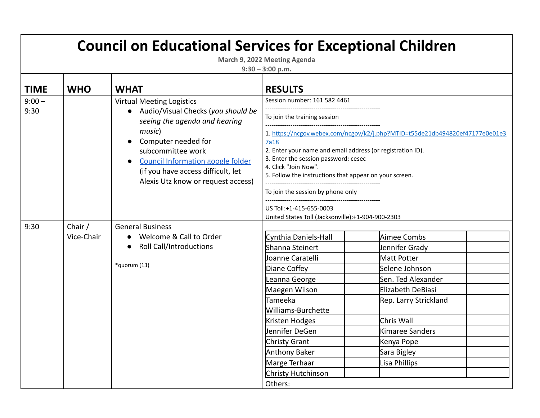| <b>Council on Educational Services for Exceptional Children</b><br>March 9, 2022 Meeting Agenda<br>$9:30 - 3:00$ p.m. |                       |                                                                                                                                                                                                                                                                                |                                                                                                                                                                                                                                                                                                          |                                                                                                                                                                                                                   |  |  |
|-----------------------------------------------------------------------------------------------------------------------|-----------------------|--------------------------------------------------------------------------------------------------------------------------------------------------------------------------------------------------------------------------------------------------------------------------------|----------------------------------------------------------------------------------------------------------------------------------------------------------------------------------------------------------------------------------------------------------------------------------------------------------|-------------------------------------------------------------------------------------------------------------------------------------------------------------------------------------------------------------------|--|--|
| <b>TIME</b>                                                                                                           | <b>WHO</b>            | <b>WHAT</b>                                                                                                                                                                                                                                                                    | <b>RESULTS</b>                                                                                                                                                                                                                                                                                           |                                                                                                                                                                                                                   |  |  |
| $9:00 -$<br>9:30                                                                                                      |                       | <b>Virtual Meeting Logistics</b><br>Audio/Visual Checks (you should be<br>seeing the agenda and hearing<br>music)<br>Computer needed for<br>subcommittee work<br>Council Information google folder<br>(if you have access difficult, let<br>Alexis Utz know or request access) | Session number: 161 582 4461<br>To join the training session<br><b>7a18</b><br>2. Enter your name and email address (or registration ID).<br>3. Enter the session password: cesec<br>4. Click "Join Now".<br>5. Follow the instructions that appear on your screen.<br>To join the session by phone only | 1. https://ncgov.webex.com/ncgov/k2/j.php?MTID=t55de21db494820ef47177e0e01e3                                                                                                                                      |  |  |
|                                                                                                                       |                       |                                                                                                                                                                                                                                                                                | US Toll:+1-415-655-0003<br>United States Toll (Jacksonville):+1-904-900-2303                                                                                                                                                                                                                             |                                                                                                                                                                                                                   |  |  |
| 9:30                                                                                                                  | Chair /<br>Vice-Chair | <b>General Business</b><br>Welcome & Call to Order<br><b>Roll Call/Introductions</b><br>*quorum (13)                                                                                                                                                                           | Cynthia Daniels-Hall<br>Shanna Steinert<br>Joanne Caratelli<br>Diane Coffey<br>Leanna George<br>Maegen Wilson<br>Tameeka<br>Williams-Burchette<br>Kristen Hodges<br>Jennifer DeGen<br>Christy Grant<br>Anthony Baker<br>Marge Terhaar<br>Christy Hutchinson<br>Others:                                   | Aimee Combs<br>Jennifer Grady<br>Matt Potter<br>Selene Johnson<br>Sen. Ted Alexander<br>Elizabeth DeBiasi<br>Rep. Larry Strickland<br>Chris Wall<br>Kimaree Sanders<br>Kenya Pope<br>Sara Bigley<br>Lisa Phillips |  |  |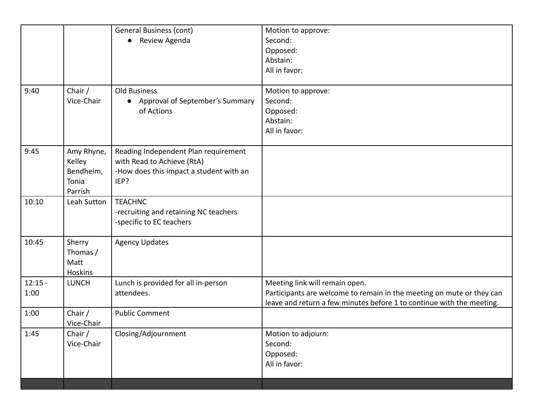|           |              | <b>General Business (cont)</b>          | Motion to approve:                                                    |
|-----------|--------------|-----------------------------------------|-----------------------------------------------------------------------|
|           |              | Review Agenda                           | Second:                                                               |
|           |              |                                         | Opposed:                                                              |
|           |              |                                         | Abstain:                                                              |
|           |              |                                         | All in favor:                                                         |
|           |              |                                         |                                                                       |
| 9:40      | Chair /      | Old Business                            | Motion to approve:                                                    |
|           | Vice-Chair   | Approval of September's Summary         | Second:                                                               |
|           |              | of Actions                              | Opposed:                                                              |
|           |              |                                         | Abstain:                                                              |
|           |              |                                         | All in favor:                                                         |
|           |              |                                         |                                                                       |
| 9:45      | Amy Rhyne,   | Reading Independent Plan requirement    |                                                                       |
|           | Kelley       | with Read to Achieve (RtA)              |                                                                       |
|           | Bendheim,    | -How does this impact a student with an |                                                                       |
|           | Tonia        | IEP?                                    |                                                                       |
|           | Parrish      |                                         |                                                                       |
| 10:10     | Leah Sutton  | <b>TEACHNC</b>                          |                                                                       |
|           |              | -recruiting and retaining NC teachers   |                                                                       |
|           |              | -specific to EC teachers                |                                                                       |
| 10:45     | Sherry       | <b>Agency Updates</b>                   |                                                                       |
|           | Thomas /     |                                         |                                                                       |
|           | Matt         |                                         |                                                                       |
|           | Hoskins      |                                         |                                                                       |
| $12:15 -$ | <b>LUNCH</b> | Lunch is provided for all in-person     | Meeting link will remain open.                                        |
| 1:00      |              | attendees.                              | Participants are welcome to remain in the meeting on mute or they can |
|           |              |                                         | leave and return a few minutes before 1 to continue with the meeting. |
| 1:00      | Chair /      | <b>Public Comment</b>                   |                                                                       |
|           | Vice-Chair   |                                         |                                                                       |
| 1:45      | Chair /      | Closing/Adjournment                     | Motion to adjourn:                                                    |
|           | Vice-Chair   |                                         | Second:                                                               |
|           |              |                                         | Opposed:                                                              |
|           |              |                                         | All in favor:                                                         |
|           |              |                                         |                                                                       |
|           |              |                                         |                                                                       |